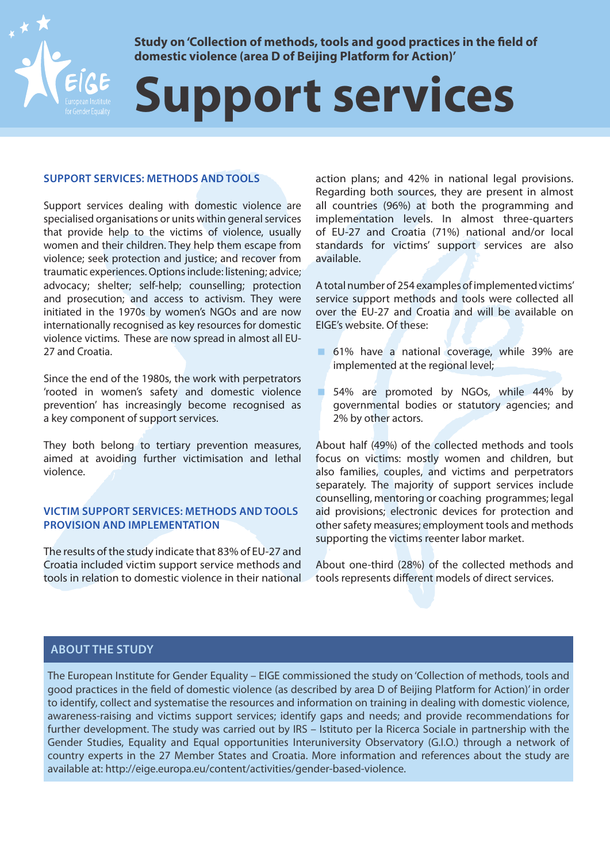

**Study on 'Collection of methods, tools and good practices in the field of domestic violence (area D of Beijing Platform for Action)'**

# **Support services**

#### **SUPPORT SERVICES: METHODS AND TOOLS**

Support services dealing with domestic violence are specialised organisations or units within general services that provide help to the victims of violence, usually women and their children. They help them escape from violence; seek protection and justice; and recover from traumatic experiences. Options include: listening; advice; advocacy; shelter; self-help; counselling; protection and prosecution; and access to activism. They were initiated in the 1970s by women's NGOs and are now internationally recognised as key resources for domestic violence victims. These are now spread in almost all EU-27 and Croatia.

Since the end of the 1980s, the work with perpetrators 'rooted in women's safety and domestic violence prevention' has increasingly become recognised as a key component of support services.

They both belong to tertiary prevention measures, aimed at avoiding further victimisation and lethal violence.

#### **VICTIM SUPPORT SERVICES: METHODS AND TOOLS PROVISION AND IMPLEMENTATION**

The results of the study indicate that 83% of EU-27 and Croatia included victim support service methods and tools in relation to domestic violence in their national action plans; and 42% in national legal provisions. Regarding both sources, they are present in almost all countries (96%) at both the programming and implementation levels. In almost three-quarters of EU-27 and Croatia (71%) national and/or local standards for victims' support services are also available.

A total number of 254 examples of implemented victims' service support methods and tools were collected all over the EU-27 and Croatia and will be available on EIGE's website. Of these:

- 61% have a national coverage, while 39% are implemented at the regional level;
- 54% are promoted by NGOs, while 44% by governmental bodies or statutory agencies; and 2% by other actors.

About half (49%) of the collected methods and tools focus on victims: mostly women and children, but also families, couples, and victims and perpetrators separately. The majority of support services include counselling, mentoring or coaching programmes; legal aid provisions; electronic devices for protection and other safety measures; employment tools and methods supporting the victims reenter labor market.

About one-third (28%) of the collected methods and tools represents different models of direct services.

# **ABOUT THE STUDY**

The European Institute for Gender Equality – EIGE commissioned the study on 'Collection of methods, tools and good practices in the field of domestic violence (as described by area D of Beijing Platform for Action)' in order to identify, collect and systematise the resources and information on training in dealing with domestic violence, awareness-raising and victims support services; identify gaps and needs; and provide recommendations for further development. The study was carried out by IRS – Istituto per la Ricerca Sociale in partnership with the Gender Studies, Equality and Equal opportunities Interuniversity Observatory (G.I.O.) through a network of country experts in the 27 Member States and Croatia. More information and references about the study are available at: <http://eige.europa.eu/content/activities/gender-based-violence>.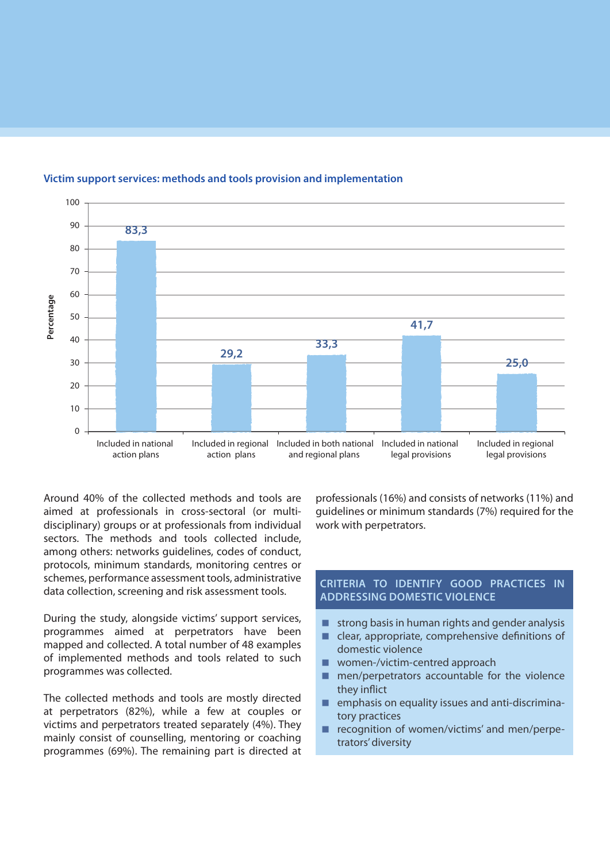

# **Victim support services: methods and tools provision and implementation**

Around 40% of the collected methods and tools are aimed at professionals in cross-sectoral (or multidisciplinary) groups or at professionals from individual sectors. The methods and tools collected include, among others: networks guidelines, codes of conduct, protocols, minimum standards, monitoring centres or schemes, performance assessment tools, administrative data collection, screening and risk assessment tools.

During the study, alongside victims' support services, programmes aimed at perpetrators have been mapped and collected. A total number of 48 examples of implemented methods and tools related to such programmes was collected.

The collected methods and tools are mostly directed at perpetrators (82%), while a few at couples or victims and perpetrators treated separately (4%). They mainly consist of counselling, mentoring or coaching programmes (69%). The remaining part is directed at professionals (16%) and consists of networks (11%) and guidelines or minimum standards (7%) required for the work with perpetrators.

#### **CRITERIA TO IDENTIFY GOOD PRACTICES IN ADDRESSING DOMESTIC VIOLENCE**

- strong basis in human rights and gender analysis
- $\blacksquare$  clear, appropriate, comprehensive definitions of domestic violence
- women-/victim-centred approach
- men/perpetrators accountable for the violence they inflict
- emphasis on equality issues and anti-discriminatory practices
- $\blacksquare$  recognition of women/victims' and men/perpetrators' diversity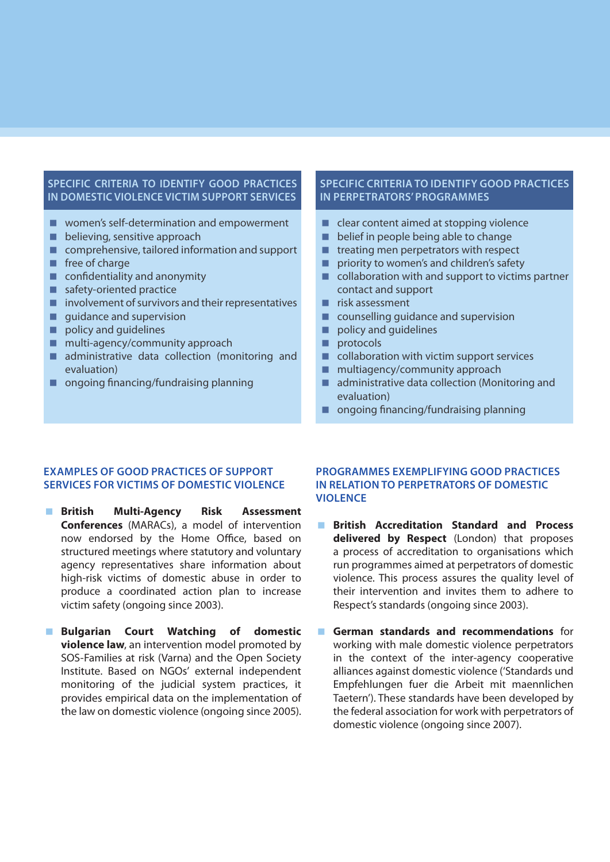#### **SPECIFIC CRITERIA TO IDENTIFY GOOD PRACTICES IN DOMESTIC VIOLENCE VICTIM SUPPORT SERVICES**

- women's self-determination and empowerment
- **believing, sensitive approach**
- comprehensive, tailored information and support
- $\blacksquare$  free of charge
- $\Box$  confidentiality and anonymity
- safety-oriented practice
- $\blacksquare$  involvement of survivors and their representatives
- $\blacksquare$  quidance and supervision
- policy and quidelines
- $\blacksquare$  multi-agency/community approach
- administrative data collection (monitoring and evaluation)
- ongoing financing/fundraising planning

#### **SPECIFIC CRITERIA TO IDENTIFY GOOD PRACTICES IN PERPETRATORS' PROGRAMMES**

- $\blacksquare$  clear content aimed at stopping violence
- **belief in people being able to change**
- $\blacksquare$  treating men perpetrators with respect
- **P** priority to women's and children's safety
- $\Box$  collaboration with and support to victims partner contact and support
- $\blacksquare$  risk assessment
- counselling guidance and supervision
- policy and guidelines
- $\blacksquare$  protocols
- $\Box$  collaboration with victim support services
- **multiagency/community approach**
- administrative data collection (Monitoring and evaluation)
- ongoing financing/fundraising planning

# **EXAMPLES OF GOOD PRACTICES OF SUPPORT SERVICES FOR VICTIMS OF DOMESTIC VIOLENCE**

- **British Multi-Agency Risk Assessment Conferences** (MARACs), a model of intervention now endorsed by the Home Office, based on structured meetings where statutory and voluntary agency representatives share information about high-risk victims of domestic abuse in order to produce a coordinated action plan to increase victim safety (ongoing since 2003).
- **Bulgarian Court Watching of domestic violence law**, an intervention model promoted by SOS-Families at risk (Varna) and the Open Society Institute. Based on NGOs' external independent monitoring of the judicial system practices, it provides empirical data on the implementation of the law on domestic violence (ongoing since 2005).

#### **PROGRAMMES EXEMPLIFYING GOOD PRACTICES IN RELATION TO PERPETRATORS OF DOMESTIC VIOLENCE**

- **British Accreditation Standard and Process delivered by Respect** (London) that proposes a process of accreditation to organisations which run programmes aimed at perpetrators of domestic violence. This process assures the quality level of their intervention and invites them to adhere to Respect's standards (ongoing since 2003).
- **German standards and recommendations** for working with male domestic violence perpetrators in the context of the inter-agency cooperative alliances against domestic violence ('Standards und Empfehlungen fuer die Arbeit mit maennlichen Taetern'). These standards have been developed by the federal association for work with perpetrators of domestic violence (ongoing since 2007).